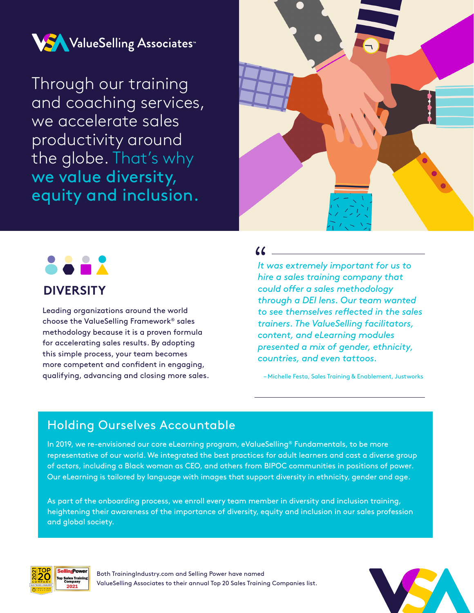

Through our training and coaching services, we accelerate sales productivity around the globe. That's why we value diversity, equity and inclusion.





Leading organizations around the world choose the ValueSelling Framework® sales methodology because it is a proven formula for accelerating sales results. By adopting this simple process, your team becomes more competent and confident in engaging, qualifying, advancing and closing more sales.

#### $\overline{\bf{W}}$

*It was extremely important for us to hire a sales training company that could offer a sales methodology through a DEI lens. Our team wanted to see themselves reflected in the sales trainers. The ValueSelling facilitators, content, and eLearning modules presented a mix of gender, ethnicity, countries, and even tattoos.*

– Michelle Festa, Sales Training & Enablement, Justworks

## Holding Ourselves Accountable

In 2019, we re-envisioned our core eLearning program, eValueSelling® Fundamentals, to be more representative of our world. We integrated the best practices for adult learners and cast a diverse group of actors, including a Black woman as CEO, and others from BIPOC communities in positions of power. Our eLearning is tailored by language with images that support diversity in ethnicity, gender and age.

As part of the onboarding process, we enroll every team member in diversity and inclusion training, heightening their awareness of the importance of diversity, equity and inclusion in our sales profession and global society.



Both TrainingIndustry.com and Selling Power have named ValueSelling Associates to their annual Top 20 Sales Training Companies list.

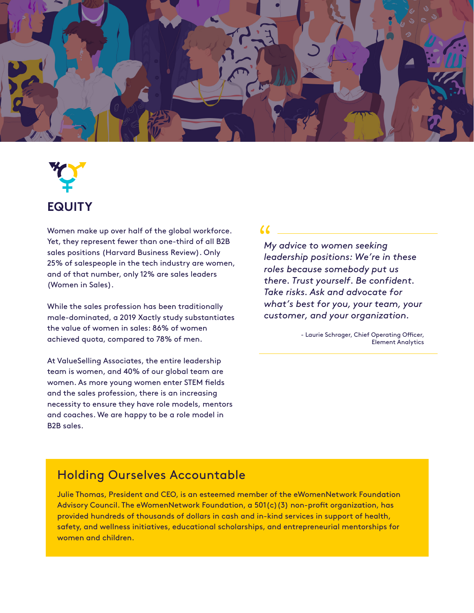

# **EQUITY**

Women make up over half of the global workforce. Yet, they represent fewer than one-third of all B2B sales positions (Harvard Business Review). Only 25% of salespeople in the tech industry are women, and of that number, only 12% are sales leaders (Women in Sales).

While the sales profession has been traditionally male-dominated, a 2019 Xactly study substantiates the value of women in sales: 86% of women achieved quota, compared to 78% of men.

At ValueSelling Associates, the entire leadership team is women, and 40% of our global team are women. As more young women enter STEM fields and the sales profession, there is an increasing necessity to ensure they have role models, mentors and coaches. We are happy to be a role model in B2B sales.

#### $\alpha$

*My advice to women seeking leadership positions: We're in these roles because somebody put us there. Trust yourself. Be confident. Take risks. Ask and advocate for what's best for you, your team, your customer, and your organization.* 

> - Laurie Schrager, Chief Operating Officer, Element Analytics

# Holding Ourselves Accountable

Julie Thomas, President and CEO, is an esteemed member of the eWomenNetwork Foundation Advisory Council. The eWomenNetwork Foundation, a 501(c)(3) non-profit organization, has provided hundreds of thousands of dollars in cash and in-kind services in support of health, safety, and wellness initiatives, educational scholarships, and entrepreneurial mentorships for women and children.